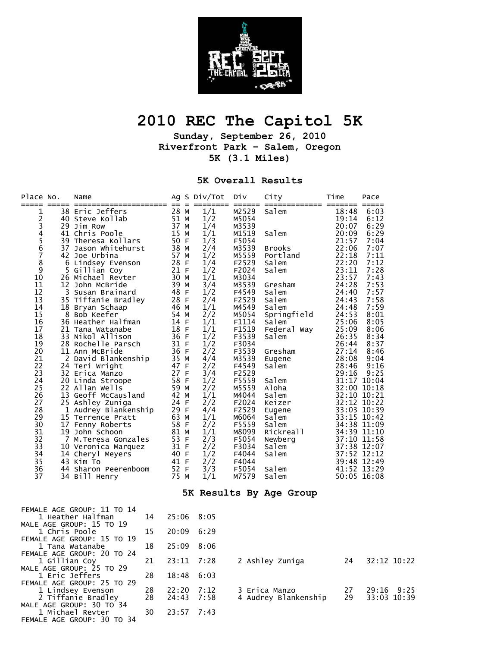

## **2010 REC The Capitol 5K**

**Sunday, September 26, 2010 Riverfront Park – Salem, Oregon 5K (3.1 Miles)** 

## **5K Overall Results**

| Place No.                                                                                                                                                                                         |                                | Name                                                                                                                                                                                                                                                                                                                                                                                                                                                                                                                                                                                                                                                |                                                                                                                                                                                                                                                              |     | Ag S Div/Tot                                                                                                                                                                                                          | Div                                                                                                                                                                                                                                                                                             | City                                                                                                                                                                                                                                                                          | Time                                                                                                                                                                                                                                                                                                                                           | Pace                                                                                                                                                                                            |
|---------------------------------------------------------------------------------------------------------------------------------------------------------------------------------------------------|--------------------------------|-----------------------------------------------------------------------------------------------------------------------------------------------------------------------------------------------------------------------------------------------------------------------------------------------------------------------------------------------------------------------------------------------------------------------------------------------------------------------------------------------------------------------------------------------------------------------------------------------------------------------------------------------------|--------------------------------------------------------------------------------------------------------------------------------------------------------------------------------------------------------------------------------------------------------------|-----|-----------------------------------------------------------------------------------------------------------------------------------------------------------------------------------------------------------------------|-------------------------------------------------------------------------------------------------------------------------------------------------------------------------------------------------------------------------------------------------------------------------------------------------|-------------------------------------------------------------------------------------------------------------------------------------------------------------------------------------------------------------------------------------------------------------------------------|------------------------------------------------------------------------------------------------------------------------------------------------------------------------------------------------------------------------------------------------------------------------------------------------------------------------------------------------|-------------------------------------------------------------------------------------------------------------------------------------------------------------------------------------------------|
| 1<br>2<br>3<br>4<br>$\frac{5}{6}$<br>$\overline{7}$<br>8<br>9<br>10<br>11<br>12<br>13<br>14<br>15<br>16<br>17<br>18<br>19<br>20<br>21<br>22<br>23<br>24<br>25<br>26<br>27<br>28<br>29<br>30<br>31 | $=$ $=$ $=$ $=$ $=$<br>3<br>17 | ===================<br>38 Eric Jeffers<br>40 Steve Kollab<br>29 Jim Row<br>41 Chris Poole<br>39 Theresa Kollars<br>37 Jason Whitehurst<br>42 Joe Urbina<br>6 Lindsey Evenson<br>5 Gillian Coy<br>26 Michael Revter<br>12 John McBride<br>Susan Brainard<br>35 Tiffanie Bradley<br>18 Bryan Schaap<br>8 Bob Keefer<br>36 Heather Halfman<br>21 Tana Watanabe<br>33 Nikol Allison<br>28 Rochelle Parsch<br>11 Ann McBride<br>2 David Blankenship<br>24 Teri Wright<br>32 Erica Manzo<br>20 Linda Stroope<br>22 Allan Wells<br>13 Geoff McCausland<br>25 Ashley Zuniga<br>1 Audrey Blankenship<br>15 Terrence Pratt<br>Fenny Roberts<br>19 John Schoon | $==$<br>28 M<br>51 M<br>37 M<br>15 M<br>50 F<br>38 M<br>57 M<br>28 F<br>21 F<br>30 M<br>39 M<br>48 F<br>28 F<br>46 M<br>54 M<br>14 F<br>18 F<br>36 F<br>31 F<br>36 F<br>35 M<br>47 F<br>27 F<br>58 F<br>59 M<br>42 M<br>24 F<br>29 F<br>63 M<br>58 F<br>81 M | $=$ | 1/1<br>1/2<br>1/4<br>1/1<br>1/3<br>2/4<br>1/2<br>1/4<br>1/2<br>1/1<br>3/4<br>1/2<br>2/4<br>1/1<br>2/2<br>1/1<br>1/1<br>1/2<br>1/2<br>2/2<br>4/4<br>2/2<br>3/4<br>1/2<br>2/2<br>1/1<br>2/2<br>4/4<br>1/1<br>2/2<br>1/1 | $======$<br>M2529<br>M5054<br>M3539<br>M1519<br>F5054<br>M3539<br>M5559<br>F2529<br>F2024<br>M3034<br>M3539<br>F4549<br>F2529<br>M4549<br>M5054<br>F1114<br>F1519<br>F3539<br>F3034<br>F3539<br>M3539<br>F4549<br>F2529<br>F5559<br>M5559<br>M4044<br>F2024<br>F2529<br>M6064<br>F5559<br>M8099 | ==========<br>Salem<br>Salem<br><b>Brooks</b><br>Portland<br>Salem<br>Salem<br>Gresham<br>Salem<br>Salem<br>Salem<br>Springfield<br>Salem<br>Federal Way<br>Salem<br>Gresham<br>Eugene<br>Salem<br>Salem<br>Aloha<br>Salem<br>Keizer<br>Eugene<br>Salem<br>Salem<br>Rickreall | =======<br>18:48<br>19:14<br>20:07<br>20:09<br>21:57<br>22:06<br>22:18<br>22:20<br>23:11<br>23:57<br>24:28<br>24:40<br>24:43<br>24:48<br>24:53<br>25:06<br>25:09<br>26:35<br>26:44<br>27:14<br>28:08<br>28:46<br>29:16<br>31:17 10:04<br>32:00 10:18<br>32:10 10:21<br>32:12 10:22<br>33:03 10:39<br>33:15 10:42<br>34:38 11:09<br>34:39 11:10 | $=====$<br>6:03<br>6:12<br>6:29<br>6:29<br>7:04<br>7:07<br>7:11<br>7:12<br>7:28<br>7:43<br>7:53<br>7:57<br>7:58<br>7:59<br>8:01<br>8:05<br>8:06<br>8:34<br>8:37<br>8:46<br>9:04<br>9:16<br>9:25 |
| 32                                                                                                                                                                                                |                                | 7 M.Teresa Gonzales                                                                                                                                                                                                                                                                                                                                                                                                                                                                                                                                                                                                                                 | 53 F                                                                                                                                                                                                                                                         |     | 2/3                                                                                                                                                                                                                   | F5054                                                                                                                                                                                                                                                                                           | Newberg                                                                                                                                                                                                                                                                       | 37:10 11:58                                                                                                                                                                                                                                                                                                                                    |                                                                                                                                                                                                 |
| 33<br>34<br>35                                                                                                                                                                                    |                                | 10 Veronica Marquez<br>14 Cheryl Meyers<br>43 Kim To                                                                                                                                                                                                                                                                                                                                                                                                                                                                                                                                                                                                | 31 F<br>40 F<br>41 F                                                                                                                                                                                                                                         |     | 2/2<br>1/2<br>2/2                                                                                                                                                                                                     | F3034<br>F4044<br>F4044                                                                                                                                                                                                                                                                         | Salem<br>Salem                                                                                                                                                                                                                                                                | 37:38 12:07<br>37:52 12:12<br>39:48 12:49                                                                                                                                                                                                                                                                                                      |                                                                                                                                                                                                 |
| 36<br>37                                                                                                                                                                                          | 44                             | Sharon Peerenboom<br>34 Bill Henry                                                                                                                                                                                                                                                                                                                                                                                                                                                                                                                                                                                                                  | 52 F<br>75 M                                                                                                                                                                                                                                                 | - - | 3/3<br>1/1<br>. .                                                                                                                                                                                                     | F5054<br>M7579                                                                                                                                                                                                                                                                                  | Salem<br>Salem                                                                                                                                                                                                                                                                | 41:52 13:29<br>50:05 16:08                                                                                                                                                                                                                                                                                                                     |                                                                                                                                                                                                 |

## **5K Results By Age Group**

| FEMALE AGE GROUP: 11 TO 14                     |    |                        |      |                      |    |             |
|------------------------------------------------|----|------------------------|------|----------------------|----|-------------|
| 1 Heather Halfman<br>MALE AGE GROUP: 15 TO 19  | 14 | 25:06 8:05             |      |                      |    |             |
| 1 Chris Poole<br>FEMALE AGE GROUP: 15 TO 19    | 15 | 20:09                  | 6:29 |                      |    |             |
| 1 Tana Watanabe                                | 18 | 25:09                  | 8:06 |                      |    |             |
| FEMALE AGE GROUP: 20 TO 24<br>1 Gillian Coy    | 21 | 23:11 7:28             |      | 2 Ashley Zuniga      | 24 | 32:12 10:22 |
| MALE AGE GROUP: 25 TO 29                       |    |                        |      |                      |    |             |
| 1 Fric Jeffers<br>FEMALE AGE GROUP: 25 TO 29   | 28 | $18:48$ 6:03           |      |                      |    |             |
| 1 Lindsey Evenson                              |    | 28  22:20<br>28  24:43 | 7:12 | 3 Erica Manzo        | 27 | 29:16 9:25  |
| 2 Tiffanie Bradley<br>MALE AGE GROUP: 30 TO 34 |    |                        | 7:58 | 4 Audrey Blankenship | 29 | 33:03 10:39 |
| 1 Michael Revter<br>FEMALE AGE GROUP: 30 TO 34 | 30 | 23:57                  | 7:43 |                      |    |             |
|                                                |    |                        |      |                      |    |             |